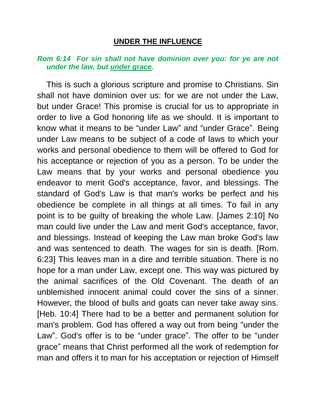## **UNDER THE INFLUENCE**

## *Rom 6:14 For sin shall not have dominion over you: for ye are not under the law, but under grace.*

This is such a glorious scripture and promise to Christians. Sin shall not have dominion over us: for we are not under the Law, but under Grace! This promise is crucial for us to appropriate in order to live a God honoring life as we should. It is important to know what it means to be "under Law" and "under Grace". Being under Law means to be subject of a code of laws to which your works and personal obedience to them will be offered to God for his acceptance or rejection of you as a person. To be under the Law means that by your works and personal obedience you endeavor to merit God's acceptance, favor, and blessings. The standard of God's Law is that man's works be perfect and his obedience be complete in all things at all times. To fail in any point is to be guilty of breaking the whole Law. [James 2:10] No man could live under the Law and merit God's acceptance, favor, and blessings. Instead of keeping the Law man broke God's law and was sentenced to death. The wages for sin is death. [Rom. 6:23] This leaves man in a dire and terrible situation. There is no hope for a man under Law, except one. This way was pictured by the animal sacrifices of the Old Covenant. The death of an unblemished innocent animal could cover the sins of a sinner. However, the blood of bulls and goats can never take away sins. [Heb. 10:4] There had to be a better and permanent solution for man's problem. God has offered a way out from being "under the Law". God's offer is to be "under grace". The offer to be "under grace" means that Christ performed all the work of redemption for man and offers it to man for his acceptation or rejection of Himself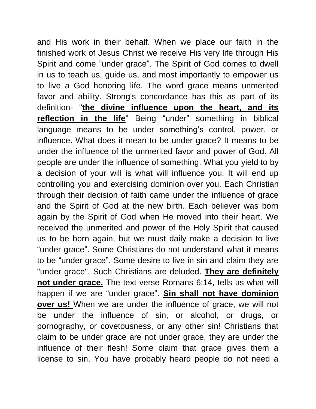and His work in their behalf. When we place our faith in the finished work of Jesus Christ we receive His very life through His Spirit and come "under grace". The Spirit of God comes to dwell in us to teach us, guide us, and most importantly to empower us to live a God honoring life. The word grace means unmerited favor and ability. Strong's concordance has this as part of its definition- "**the divine influence upon the heart, and its reflection in the life**" Being "under" something in biblical language means to be under something's control, power, or influence. What does it mean to be under grace? It means to be under the influence of the unmerited favor and power of God. All people are under the influence of something. What you yield to by a decision of your will is what will influence you. It will end up controlling you and exercising dominion over you. Each Christian through their decision of faith came under the influence of grace and the Spirit of God at the new birth. Each believer was born again by the Spirit of God when He moved into their heart. We received the unmerited and power of the Holy Spirit that caused us to be born again, but we must daily make a decision to live "under grace". Some Christians do not understand what it means to be "under grace". Some desire to live in sin and claim they are "under grace". Such Christians are deluded. **They are definitely not under grace.** The text verse Romans 6:14, tells us what will happen if we are "under grace". **Sin shall not have dominion over us!** When we are under the influence of grace, we will not be under the influence of sin, or alcohol, or drugs, or pornography, or covetousness, or any other sin! Christians that claim to be under grace are not under grace, they are under the influence of their flesh! Some claim that grace gives them a license to sin. You have probably heard people do not need a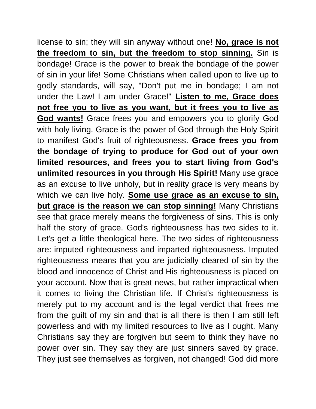license to sin; they will sin anyway without one! **No, grace is not the freedom to sin, but the freedom to stop sinning.** Sin is bondage! Grace is the power to break the bondage of the power of sin in your life! Some Christians when called upon to live up to godly standards, will say, "Don't put me in bondage; I am not under the Law! I am under Grace!" **Listen to me, Grace does not free you to live as you want, but it frees you to live as God wants!** Grace frees you and empowers you to glorify God with holy living. Grace is the power of God through the Holy Spirit to manifest God's fruit of righteousness. **Grace frees you from the bondage of trying to produce for God out of your own limited resources, and frees you to start living from God's unlimited resources in you through His Spirit!** Many use grace as an excuse to live unholy, but in reality grace is very means by which we can live holy. **Some use grace as an excuse to sin, but grace is the reason we can stop sinning!** Many Christians see that grace merely means the forgiveness of sins. This is only half the story of grace. God's righteousness has two sides to it. Let's get a little theological here. The two sides of righteousness are: imputed righteousness and imparted righteousness. Imputed righteousness means that you are judicially cleared of sin by the blood and innocence of Christ and His righteousness is placed on your account. Now that is great news, but rather impractical when it comes to living the Christian life. If Christ's righteousness is merely put to my account and is the legal verdict that frees me from the guilt of my sin and that is all there is then I am still left powerless and with my limited resources to live as I ought. Many Christians say they are forgiven but seem to think they have no power over sin. They say they are just sinners saved by grace. They just see themselves as forgiven, not changed! God did more